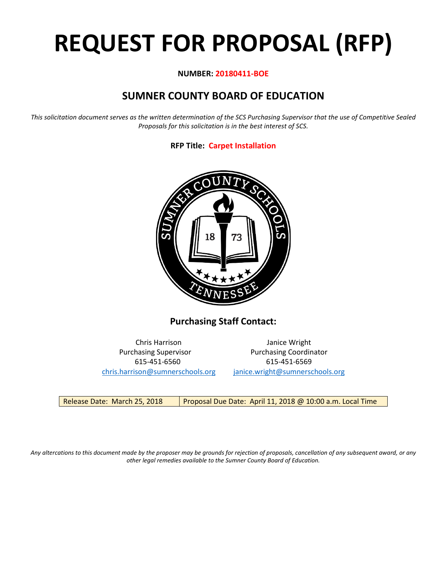# **REQUEST FOR PROPOSAL (RFP)**

# **NUMBER: 20180411-BOE**

# **SUMNER COUNTY BOARD OF EDUCATION**

*This solicitation document serves as the written determination of the SCS Purchasing Supervisor that the use of Competitive Sealed Proposals for this solicitation is in the best interest of SCS.*

# **RFP Title: Carpet Installation**



**Purchasing Staff Contact:**

[chris.harrison@sumnerschools.org](mailto:chris.harrison@sumnerschools.org) [janice.wright@sumnerschools.org](mailto:janice.wright@sumnerschools.org)

Chris Harrison Janice Wright Purchasing Supervisor **Purchasing Coordinator** 615-451-6560 615-451-6569

Release Date: March 25, 2018 | Proposal Due Date: April 11, 2018 @ 10:00 a.m. Local Time

*Any altercations to this document made by the proposer may be grounds for rejection of proposals, cancellation of any subsequent award, or any other legal remedies available to the Sumner County Board of Education.*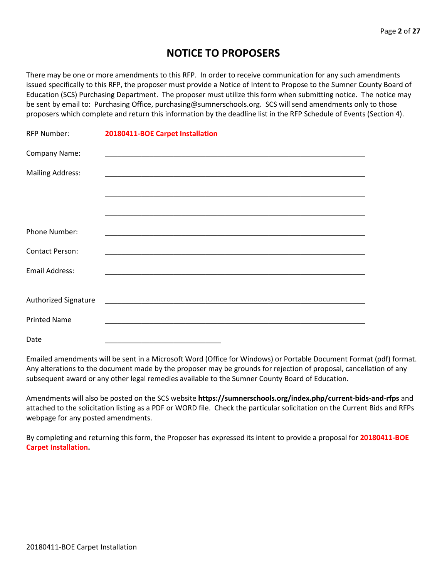# **NOTICE TO PROPOSERS**

There may be one or more amendments to this RFP. In order to receive communication for any such amendments issued specifically to this RFP, the proposer must provide a Notice of Intent to Propose to the Sumner County Board of Education (SCS) Purchasing Department. The proposer must utilize this form when submitting notice. The notice may be sent by email to: Purchasing Office, purchasing@sumnerschools.org. SCS will send amendments only to those proposers which complete and return this information by the deadline list in the RFP Schedule of Events (Section 4).

| <b>RFP Number:</b>      | 20180411-BOE Carpet Installation |
|-------------------------|----------------------------------|
| Company Name:           |                                  |
| <b>Mailing Address:</b> |                                  |
|                         |                                  |
|                         |                                  |
| Phone Number:           |                                  |
| <b>Contact Person:</b>  |                                  |
| <b>Email Address:</b>   |                                  |
| Authorized Signature    |                                  |
| <b>Printed Name</b>     |                                  |
| Date                    |                                  |

Emailed amendments will be sent in a Microsoft Word (Office for Windows) or Portable Document Format (pdf) format. Any alterations to the document made by the proposer may be grounds for rejection of proposal, cancellation of any subsequent award or any other legal remedies available to the Sumner County Board of Education.

Amendments will also be posted on the SCS website **https://sumnerschools.org/index.php/current-bids-and-rfps** and attached to the solicitation listing as a PDF or WORD file. Check the particular solicitation on the Current Bids and RFPs webpage for any posted amendments.

By completing and returning this form, the Proposer has expressed its intent to provide a proposal for **20180411-BOE Carpet Installation.**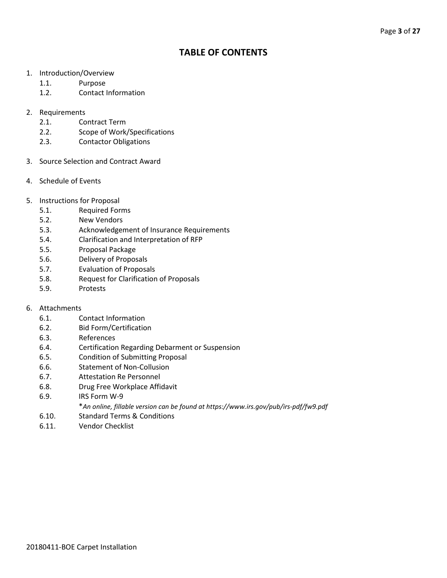# **TABLE OF CONTENTS**

- 1. Introduction/Overview
	- 1.1. Purpose
	- 1.2. Contact Information
- 2. Requirements
	- 2.1. Contract Term
	- 2.2. Scope of Work/Specifications
	- 2.3. Contactor Obligations
- 3. Source Selection and Contract Award
- 4. Schedule of Events
- 5. Instructions for Proposal
	- 5.1. Required Forms
	- 5.2. New Vendors
	- 5.3. Acknowledgement of Insurance Requirements
	- 5.4. Clarification and Interpretation of RFP
	- 5.5. Proposal Package
	- 5.6. Delivery of Proposals
	- 5.7. Evaluation of Proposals
	- 5.8. Request for Clarification of Proposals
	- 5.9. Protests

# 6. Attachments

- 6.1. Contact Information
- 6.2. Bid Form/Certification
- 6.3. References
- 6.4. Certification Regarding Debarment or Suspension
- 6.5. Condition of Submitting Proposal
- 6.6. Statement of Non-Collusion
- 6.7. Attestation Re Personnel
- 6.8. Drug Free Workplace Affidavit
- 6.9. IRS Form W-9
	- \**An online, fillable version can be found at https://www.irs.gov/pub/irs-pdf/fw9.pdf*
- 6.10. Standard Terms & Conditions
- 6.11. Vendor Checklist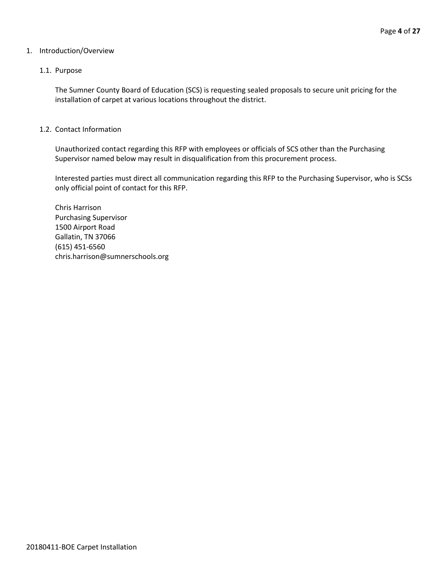# 1. Introduction/Overview

# 1.1. Purpose

The Sumner County Board of Education (SCS) is requesting sealed proposals to secure unit pricing for the installation of carpet at various locations throughout the district.

# 1.2. Contact Information

Unauthorized contact regarding this RFP with employees or officials of SCS other than the Purchasing Supervisor named below may result in disqualification from this procurement process.

Interested parties must direct all communication regarding this RFP to the Purchasing Supervisor, who is SCSs only official point of contact for this RFP.

Chris Harrison Purchasing Supervisor 1500 Airport Road Gallatin, TN 37066 (615) 451-6560 chris.harrison@sumnerschools.org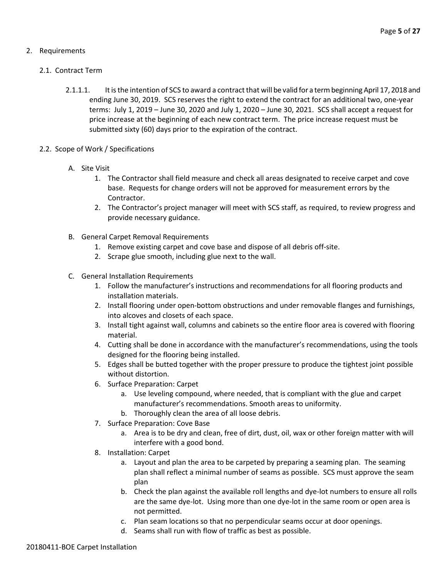# 2. Requirements

# 2.1. Contract Term

- 2.1.1.1. It is the intention of SCS to award a contract that will be valid for a term beginning April 17, 2018 and ending June 30, 2019. SCS reserves the right to extend the contract for an additional two, one-year terms: July 1, 2019 – June 30, 2020 and July 1, 2020 – June 30, 2021. SCS shall accept a request for price increase at the beginning of each new contract term. The price increase request must be submitted sixty (60) days prior to the expiration of the contract.
- 2.2. Scope of Work / Specifications
	- A. Site Visit
		- 1. The Contractor shall field measure and check all areas designated to receive carpet and cove base. Requests for change orders will not be approved for measurement errors by the Contractor.
		- 2. The Contractor's project manager will meet with SCS staff, as required, to review progress and provide necessary guidance.
	- B. General Carpet Removal Requirements
		- 1. Remove existing carpet and cove base and dispose of all debris off-site.
		- 2. Scrape glue smooth, including glue next to the wall.
	- C. General Installation Requirements
		- 1. Follow the manufacturer's instructions and recommendations for all flooring products and installation materials.
		- 2. Install flooring under open-bottom obstructions and under removable flanges and furnishings, into alcoves and closets of each space.
		- 3. Install tight against wall, columns and cabinets so the entire floor area is covered with flooring material.
		- 4. Cutting shall be done in accordance with the manufacturer's recommendations, using the tools designed for the flooring being installed.
		- 5. Edges shall be butted together with the proper pressure to produce the tightest joint possible without distortion.
		- 6. Surface Preparation: Carpet
			- a. Use leveling compound, where needed, that is compliant with the glue and carpet manufacturer's recommendations. Smooth areas to uniformity.
			- b. Thoroughly clean the area of all loose debris.
		- 7. Surface Preparation: Cove Base
			- a. Area is to be dry and clean, free of dirt, dust, oil, wax or other foreign matter with will interfere with a good bond.
		- 8. Installation: Carpet
			- a. Layout and plan the area to be carpeted by preparing a seaming plan. The seaming plan shall reflect a minimal number of seams as possible. SCS must approve the seam plan
			- b. Check the plan against the available roll lengths and dye-lot numbers to ensure all rolls are the same dye-lot. Using more than one dye-lot in the same room or open area is not permitted.
			- c. Plan seam locations so that no perpendicular seams occur at door openings.
			- d. Seams shall run with flow of traffic as best as possible.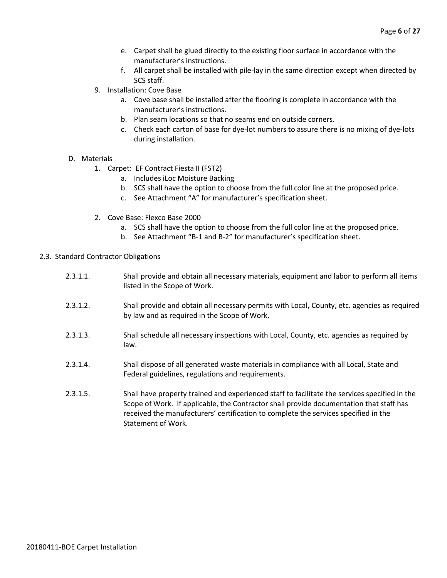- e. Carpet shall be glued directly to the existing floor surface in accordance with the manufacturer's instructions.
- f. All carpet shall be installed with pile-lay in the same direction except when directed by SCS staff.
- 9. Installation: Cove Base
	- a. Cove base shall be installed after the flooring is complete in accordance with the manufacturer's instructions.
	- b. Plan seam locations so that no seams end on outside corners.
	- c. Check each carton of base for dye-lot numbers to assure there is no mixing of dye-lots during installation.
- D. Materials
	- 1. Carpet: EF Contract Fiesta II (FST2)
		- a. Includes iLoc Moisture Backing
		- b. SCS shall have the option to choose from the full color line at the proposed price.
		- c. See Attachment "A" for manufacturer's specification sheet.
	- 2. Cove Base: Flexco Base 2000
		- a. SCS shall have the option to choose from the full color line at the proposed price.
		- b. See Attachment "B-1 and B-2" for manufacturer's specification sheet.
- 2.3. Standard Contractor Obligations
	- 2.3.1.1. Shall provide and obtain all necessary materials, equipment and labor to perform all items listed in the Scope of Work.
	- 2.3.1.2. Shall provide and obtain all necessary permits with Local, County, etc. agencies as required by law and as required in the Scope of Work.
	- 2.3.1.3. Shall schedule all necessary inspections with Local, County, etc. agencies as required by law.
	- 2.3.1.4. Shall dispose of all generated waste materials in compliance with all Local, State and Federal guidelines, regulations and requirements.
	- 2.3.1.5. Shall have property trained and experienced staff to facilitate the services specified in the Scope of Work. If applicable, the Contractor shall provide documentation that staff has received the manufacturers' certification to complete the services specified in the Statement of Work.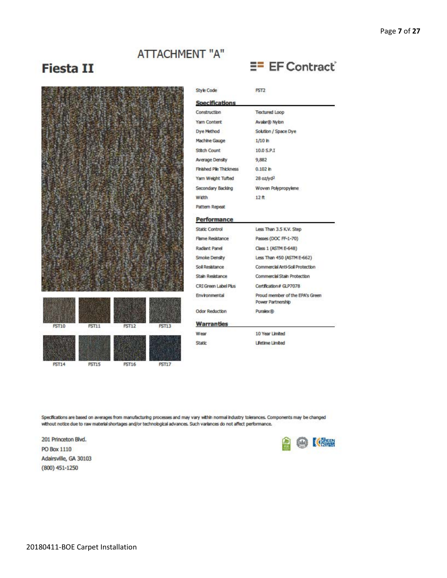# **ATTACHMENT "A"**

# **Fiesta II**



**PST14** 





| Style Code              | PST <sub>2</sub>                                     |  |
|-------------------------|------------------------------------------------------|--|
| <b>Specifications</b>   |                                                      |  |
| Construction            | <b>Textured Loop</b>                                 |  |
| Yarn Content            | Avalar® Nylon                                        |  |
| Dye Method              | Solution / Space Dye                                 |  |
| Machine Gauge           | 1/10 h                                               |  |
| Stitch Count            | 10.0 S.P.I                                           |  |
| Average Density         | 9,882                                                |  |
| Finished Pile Thickness | 0.102 h                                              |  |
| Yarn Weight Tufted      | $28$ oz/y $d^2$                                      |  |
| Secondary Backing       | Woven Polypropylene                                  |  |
| <b>Width</b>            | 12 代                                                 |  |
| Pattern Repeat          |                                                      |  |
| <b>Performance</b>      |                                                      |  |
| Static Control          | Less Than 3.5 K.V. Step                              |  |
| Flame Resistance        | Passes (DOC FF-1-70)                                 |  |
| Radiant Panel           | Class 1 (ASTM E-648)                                 |  |
| Smoke Density           | Less Than 450 (ASTM E-662)                           |  |
| Soll Resistance         | Commercial Anti-Soil Protection                      |  |
| Stah Resistance         | Commercial Stain Protection                          |  |
| CRIGreen Label Plus     | Certification # GLP7078                              |  |
| Environmental           | Proud member of the EPA's Green<br>Power Partnership |  |
| <b>Odor Reduction</b>   | Puralex®                                             |  |
| <b>Warranties</b>       |                                                      |  |
| Wear                    | 10 Year Limited                                      |  |
| <b>Static</b>           | <b>Uletime Limbed</b>                                |  |

**EF** Contract

Specifications are based on averages from manufacturing processes and may vary within normal industry tolerances. Components may be changed without notice due to raw material shortages and/or technological advances. Such variances do not affect performance.

201 Princeton Blvd. PO Box 1110 Adairsville, GA 30103  $(800)$  451-1250

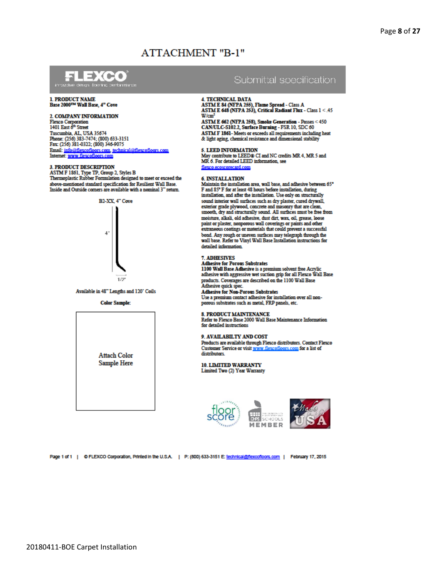# **ATTACHMENT "B-1"**



# 1. PRODUCT NAME<br>Base 2000<sup>ms</sup> Wall Base, 4" Cove

#### 2. COMPANY INFORMATION

**Flexco Corporation** 1401 East 6<sup>th</sup> Street Tuscumbia, AL, USA 35674 Phone: (256) 383-7474; (800) 633-3151 Fax: (256) 381-0322; (800) 346-9075 Email: info@flexcofloors.com, technical@flexcofloors.com Internet: www.flexcofloors.com

#### **3. PRODUCT DESCRIPTION**

STM F 1861, Type TP, Group 2, Styles B<br>Thermoplastic Rubber Formulation designed to meet or exceed the above-mentioned standard specification for Resilient Wall Base. Inside and Outside corners are available with a nominal 3" return.



Available in 48" Lengths and 120' Coils

**Color Sample:** 



# Submittal soecification

#### **4. TECHNICAL DATA**

4. I ECHINOIRE D'AIX.<br>ASTM E 84 (NFPA 255), Flame Spread - Class A.<br>ASTM E 648 (NFPA 253), Critical Radiant Flux - Class 1 < .45  $W/cm<sup>2</sup>$ 

ASTM E 662 (NFPA 258), Smoke Generation - Passes < 450 CAN/ULC-S102.2, Surface Burning - FSR 10, SDC 60 ASTM F 1861- Meets or exceeds all requirements including heat & light aging, chemical resistance and dimensional stability

5. LEED INFORMATION

May contribute to LEED® CI and NC credits MR 4, MR 5 and MR 6 For detailed LEED information see flexco.ecoscorecard.com

#### **6 INSTALLATION**

Maintain the installation area, wall base, and adhesive between 65° F and 85° F for at least 48 hours before installation, during installation, and after the installation. Use only on structurally sound interior wall surfaces such as dry plaster, cured drywall, exterior grade plywood, concrete and masonry that are clean, smooth, dry and structurally sound. All surfaces must be free from moisture, alkali, old adhesive, dust dirt, wax, oil, grease, loose paint or plaster, nonporous wall coverings or paints and other extraneous coatings or materials that could prevent a successful bond. Any rough or uneven surfaces may telegraph through the wall base. Refer to Vinyl Wall Base Installation instructions for detailed information.

#### 7. ADHESIVES

Adhesive for Porous Substrates<br>1100 Wall Base Adhesive is a premium solvent free Acrylic<br>adhesive with aggressive wet suction grip for all Flexco Wall Base

products. Coverages are described on the 1100 Wall Base Adhesive quick spec. **Adhesive for Non-Porous Substrates** 

Use a premium contact adhesive for installation over all nonporous substrates such as metal, FRP panels, etc.

#### 8. PRODUCT MAINTENANCE

Refer to Flexco Base 2000 Wall Base Maintenance Information for detailed instructions

#### 9. AVAILABILTY AND COST

Products are available through Flexco distributors. Contact Flexco Customer Service or visit www.flexcofloors.com for a list of distributors.

**10. LIMITED WARRANTY** Limited Two (2) Year Warranty





Page 1 of 1 | © FLEXCO Corporation, Printed in the U.S.A. | P: (800) 633-3151 E: technical@flexcofloors.com | February 17, 2015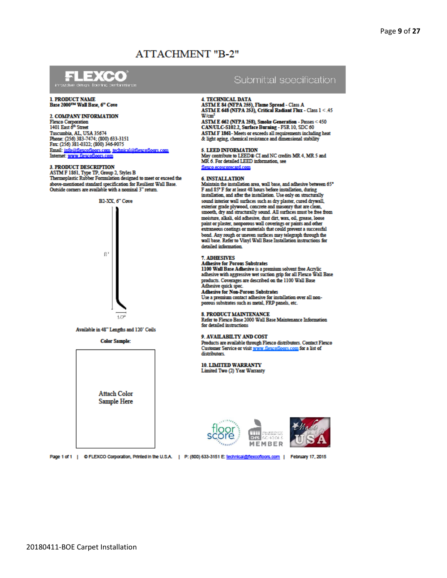# **ATTACHMENT "B-2"**



# 1. PRODUCT NAME<br>Base 2000TM Wall Base, 6" Cove

#### 2. COMPANY INFORMATION

**Flexco Corporation** 1401 East 6<sup>th</sup> Street Tuscumbia, AL, USA 35674 Phone: (256) 383-7474; (800) 633-3151 Fax: (256) 381-0322; (800) 346-9075 Email: info@flexcofloors.com. technic al@flexcofloors.com Internet: www.flexcofloors.com

#### **3. PRODUCT DESCRIPTION**

STM F 1861, Type TP, Group 2, Styles B<br>Thermoplastic Rubber Formulation designed to meet or exceed the above-mentioned standard specification for Resilient Wall Base. Outside corners are available with a nominal 3" return.



Available in 48" Lengths and 120" Coils

**Color Sample:** 



# Submittal soecification

#### **4. TECHNICAL DATA**

4. I ECHINOIRE D'AIX.<br>ASTM E 84 (NFPA 255), Flame Spread - Class A.<br>ASTM E 648 (NFPA 253), Critical Radiant Flux - Class 1 < .45  $W/cm<sup>2</sup>$ 

ASTM E 662 (NFPA 258), Smoke Generation - Passes < 450 CAN/ULC-S102.2, Surface Burning - FSR 10, SDC 60 ASTM F 1861- Meets or exceeds all requirements including heat & light aging, chemical resistance and dimensional stability

5. LEED INFORMATION

May contribute to LEED® CI and NC credits MR 4, MR 5 and MR. 6. For detailed LEED information, see flexco.ecoscorecard.com

#### **6 INSTALLATION**

Maintain the installation area, wall base, and adhesive between 65° F and 85° F for at least 48 hours before installation, during installation, and after the installation. Use only on structurally sound interior wall surfaces such as dry plaster, cured drywall, exterior grade plywood, concrete and masonry that are clean, smooth, dry and structurally sound. All surfaces must be free from moisture, alkali, old adhesive, dust dirt, wax, oil, grease, loose paint or plaster, nonporous wall coverings or paints and other extraneous coatings or materials that could prevent a successful bond. Any rough or uneven surfaces may telegraph through the wall base. Refer to Vinyl Wall Base Installation instructions for detailed information.

#### 7. ADHESIVES

Adhesive for Porous Substrates<br>1100 Wall Base Adhesive is a premium solvent free Acrylic<br>adhesive with aggressive wet suction grip for all Flexco Wall Base products. Coverages are described on the 1100 Wall Base Adhesive quick spec.

**Adhesive for Non-Porous Substrates** Use a premium contact adhesive for installation over all nonporous substrates such as metal, FRP panels, etc.

#### 8. PRODUCT MAINTENANCE

Refer to Flexco Base 2000 Wall Base Maintenance Information for detailed instructions.

#### 9. AVAILABILTY AND COST

Products are available through Flexco distributors. Contact Flexco Customer Service or visit www.flexcofloors.com for a list of distributors.

**10. LIMITED WARRANTY** Limited Two (2) Year Warranty





Page 1 of 1 | © FLEXCO Corporation, Printed in the U.S.A. | P: (800) 633-3151 E: technical@flexcofloors.com | February 17, 2015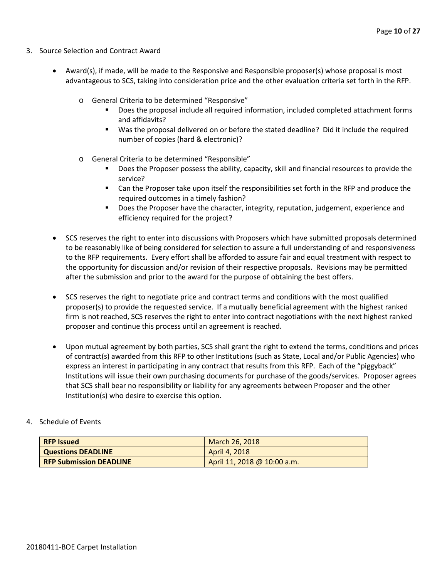- 3. Source Selection and Contract Award
	- Award(s), if made, will be made to the Responsive and Responsible proposer(s) whose proposal is most advantageous to SCS, taking into consideration price and the other evaluation criteria set forth in the RFP.
		- o General Criteria to be determined "Responsive"
			- Does the proposal include all required information, included completed attachment forms and affidavits?
			- Was the proposal delivered on or before the stated deadline? Did it include the required number of copies (hard & electronic)?
		- o General Criteria to be determined "Responsible"
			- Does the Proposer possess the ability, capacity, skill and financial resources to provide the service?
			- Can the Proposer take upon itself the responsibilities set forth in the RFP and produce the required outcomes in a timely fashion?
			- **Does the Proposer have the character, integrity, reputation, judgement, experience and** efficiency required for the project?
	- SCS reserves the right to enter into discussions with Proposers which have submitted proposals determined to be reasonably like of being considered for selection to assure a full understanding of and responsiveness to the RFP requirements. Every effort shall be afforded to assure fair and equal treatment with respect to the opportunity for discussion and/or revision of their respective proposals. Revisions may be permitted after the submission and prior to the award for the purpose of obtaining the best offers.
	- SCS reserves the right to negotiate price and contract terms and conditions with the most qualified proposer(s) to provide the requested service. If a mutually beneficial agreement with the highest ranked firm is not reached, SCS reserves the right to enter into contract negotiations with the next highest ranked proposer and continue this process until an agreement is reached.
	- Upon mutual agreement by both parties, SCS shall grant the right to extend the terms, conditions and prices of contract(s) awarded from this RFP to other Institutions (such as State, Local and/or Public Agencies) who express an interest in participating in any contract that results from this RFP. Each of the "piggyback" Institutions will issue their own purchasing documents for purchase of the goods/services. Proposer agrees that SCS shall bear no responsibility or liability for any agreements between Proposer and the other Institution(s) who desire to exercise this option.

# 4. Schedule of Events

| <b>RFP Issued</b>              | March 26, 2018              |
|--------------------------------|-----------------------------|
| <b>Questions DEADLINE</b>      | April 4, 2018               |
| <b>RFP Submission DEADLINE</b> | April 11, 2018 @ 10:00 a.m. |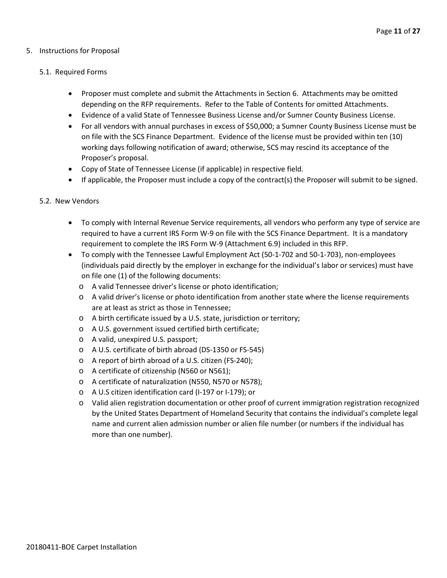# 5. Instructions for Proposal

# 5.1. Required Forms

- Proposer must complete and submit the Attachments in Section 6. Attachments may be omitted depending on the RFP requirements. Refer to the Table of Contents for omitted Attachments.
- Evidence of a valid State of Tennessee Business License and/or Sumner County Business License.
- For all vendors with annual purchases in excess of \$50,000; a Sumner County Business License must be on file with the SCS Finance Department. Evidence of the license must be provided within ten (10) working days following notification of award; otherwise, SCS may rescind its acceptance of the Proposer's proposal.
- Copy of State of Tennessee License (if applicable) in respective field.
- If applicable, the Proposer must include a copy of the contract(s) the Proposer will submit to be signed.

# 5.2. New Vendors

- To comply with Internal Revenue Service requirements, all vendors who perform any type of service are required to have a current IRS Form W-9 on file with the SCS Finance Department. It is a mandatory requirement to complete the IRS Form W-9 (Attachment 6.9) included in this RFP.
- To comply with the Tennessee Lawful Employment Act (50-1-702 and 50-1-703), non-employees (individuals paid directly by the employer in exchange for the individual's labor or services) must have on file one (1) of the following documents:
	- o A valid Tennessee driver's license or photo identification;
	- o A valid driver's license or photo identification from another state where the license requirements are at least as strict as those in Tennessee;
	- o A birth certificate issued by a U.S. state, jurisdiction or territory;
	- o A U.S. government issued certified birth certificate;
	- o A valid, unexpired U.S. passport;
	- o A U.S. certificate of birth abroad (DS-1350 or FS-545)
	- o A report of birth abroad of a U.S. citizen (FS-240);
	- o A certificate of citizenship (N560 or N561);
	- o A certificate of naturalization (N550, N570 or N578);
	- o A U.S citizen identification card (I-197 or I-179); or
	- o Valid alien registration documentation or other proof of current immigration registration recognized by the United States Department of Homeland Security that contains the individual's complete legal name and current alien admission number or alien file number (or numbers if the individual has more than one number).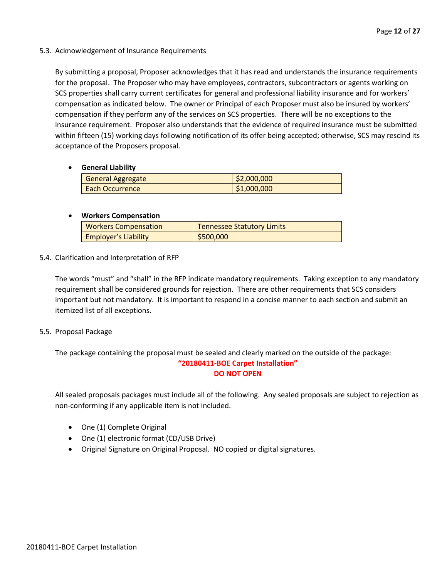5.3. Acknowledgement of Insurance Requirements

By submitting a proposal, Proposer acknowledges that it has read and understands the insurance requirements for the proposal. The Proposer who may have employees, contractors, subcontractors or agents working on SCS properties shall carry current certificates for general and professional liability insurance and for workers' compensation as indicated below. The owner or Principal of each Proposer must also be insured by workers' compensation if they perform any of the services on SCS properties. There will be no exceptions to the insurance requirement. Proposer also understands that the evidence of required insurance must be submitted within fifteen (15) working days following notification of its offer being accepted; otherwise, SCS may rescind its acceptance of the Proposers proposal.

# • **General Liability**

| <b>General Aggregate</b> | \$2,000,000 |
|--------------------------|-------------|
| <b>Each Occurrence</b>   | \$1,000,000 |

# • **Workers Compensation**

| <b>Workers Compensation</b> | <b>Tennessee Statutory Limits</b> |
|-----------------------------|-----------------------------------|
| <b>Employer's Liability</b> | \$500,000                         |

5.4. Clarification and Interpretation of RFP

The words "must" and "shall" in the RFP indicate mandatory requirements. Taking exception to any mandatory requirement shall be considered grounds for rejection. There are other requirements that SCS considers important but not mandatory. It is important to respond in a concise manner to each section and submit an itemized list of all exceptions.

5.5. Proposal Package

The package containing the proposal must be sealed and clearly marked on the outside of the package: **"20180411-BOE Carpet Installation"**

# **DO NOT OPEN**

All sealed proposals packages must include all of the following. Any sealed proposals are subject to rejection as non-conforming if any applicable item is not included.

- One (1) Complete Original
- One (1) electronic format (CD/USB Drive)
- Original Signature on Original Proposal. NO copied or digital signatures.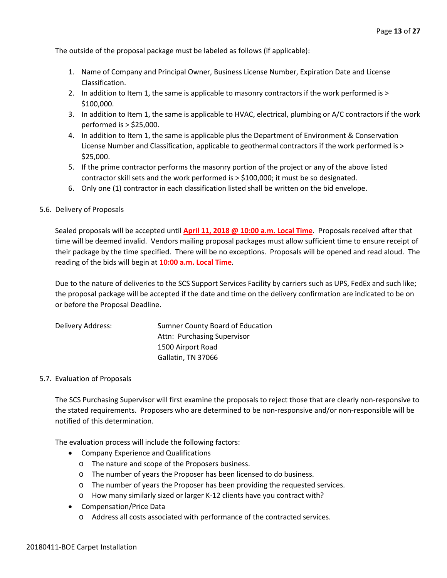The outside of the proposal package must be labeled as follows (if applicable):

- 1. Name of Company and Principal Owner, Business License Number, Expiration Date and License Classification.
- 2. In addition to Item 1, the same is applicable to masonry contractors if the work performed is > \$100,000.
- 3. In addition to Item 1, the same is applicable to HVAC, electrical, plumbing or A/C contractors if the work performed is > \$25,000.
- 4. In addition to Item 1, the same is applicable plus the Department of Environment & Conservation License Number and Classification, applicable to geothermal contractors if the work performed is > \$25,000.
- 5. If the prime contractor performs the masonry portion of the project or any of the above listed contractor skill sets and the work performed is > \$100,000; it must be so designated.
- 6. Only one (1) contractor in each classification listed shall be written on the bid envelope.

# 5.6. Delivery of Proposals

Sealed proposals will be accepted until **April 11, 2018 @ 10:00 a.m. Local Time**. Proposals received after that time will be deemed invalid. Vendors mailing proposal packages must allow sufficient time to ensure receipt of their package by the time specified. There will be no exceptions. Proposals will be opened and read aloud. The reading of the bids will begin at **10:00 a.m. Local Time**.

Due to the nature of deliveries to the SCS Support Services Facility by carriers such as UPS, FedEx and such like; the proposal package will be accepted if the date and time on the delivery confirmation are indicated to be on or before the Proposal Deadline.

| Delivery Address: | Sumner County Board of Education |
|-------------------|----------------------------------|
|                   | Attn: Purchasing Supervisor      |
|                   | 1500 Airport Road                |
|                   | Gallatin, TN 37066               |

### 5.7. Evaluation of Proposals

The SCS Purchasing Supervisor will first examine the proposals to reject those that are clearly non-responsive to the stated requirements. Proposers who are determined to be non-responsive and/or non-responsible will be notified of this determination.

The evaluation process will include the following factors:

- Company Experience and Qualifications
	- o The nature and scope of the Proposers business.
	- o The number of years the Proposer has been licensed to do business.
	- o The number of years the Proposer has been providing the requested services.
	- o How many similarly sized or larger K-12 clients have you contract with?
- Compensation/Price Data
	- o Address all costs associated with performance of the contracted services.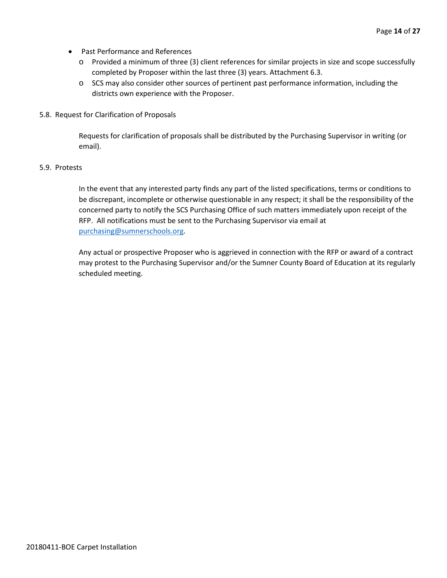- Past Performance and References
	- o Provided a minimum of three (3) client references for similar projects in size and scope successfully completed by Proposer within the last three (3) years. Attachment 6.3.
	- o SCS may also consider other sources of pertinent past performance information, including the districts own experience with the Proposer.
- 5.8. Request for Clarification of Proposals

Requests for clarification of proposals shall be distributed by the Purchasing Supervisor in writing (or email).

# 5.9. Protests

In the event that any interested party finds any part of the listed specifications, terms or conditions to be discrepant, incomplete or otherwise questionable in any respect; it shall be the responsibility of the concerned party to notify the SCS Purchasing Office of such matters immediately upon receipt of the RFP. All notifications must be sent to the Purchasing Supervisor via email at [purchasing@sumnerschools.org.](mailto:purchasing@sumnerschools.org)

Any actual or prospective Proposer who is aggrieved in connection with the RFP or award of a contract may protest to the Purchasing Supervisor and/or the Sumner County Board of Education at its regularly scheduled meeting.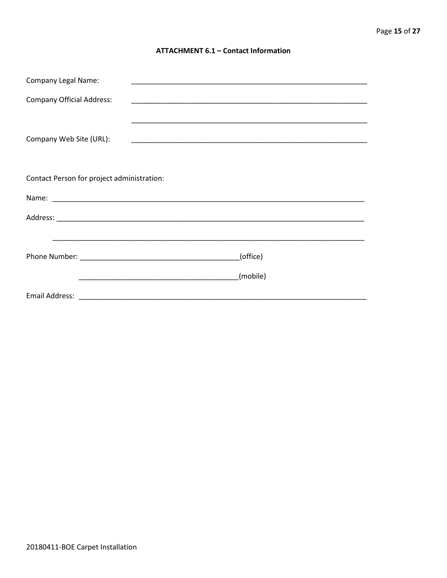# **ATTACHMENT 6.1 - Contact Information**

| <b>Company Legal Name:</b>                 |          |
|--------------------------------------------|----------|
| <b>Company Official Address:</b>           |          |
|                                            |          |
| Company Web Site (URL):                    |          |
|                                            |          |
| Contact Person for project administration: |          |
|                                            |          |
|                                            |          |
|                                            |          |
|                                            | (office) |
|                                            | (mobile) |
|                                            |          |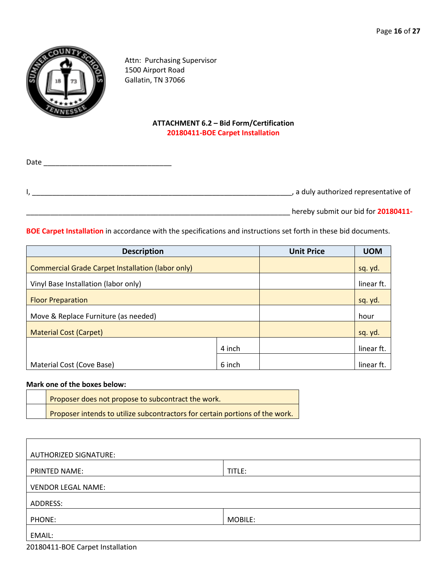

Attn: Purchasing Supervisor 1500 Airport Road Gallatin, TN 37066

# **ATTACHMENT 6.2 – Bid Form/Certification 20180411-BOE Carpet Installation**

Date \_\_\_\_\_\_\_\_\_\_\_\_\_\_\_\_\_\_\_\_\_\_\_\_\_\_\_\_\_\_\_\_ I, \_\_\_\_\_\_\_\_\_\_\_\_\_\_\_\_\_\_\_\_\_\_\_\_\_\_\_\_\_\_\_\_\_\_\_\_\_\_\_\_\_\_\_\_\_\_\_\_\_\_\_\_\_\_\_\_\_\_\_\_\_\_\_\_\_, a duly authorized representative of

\_\_\_\_\_\_\_\_\_\_\_\_\_\_\_\_\_\_\_\_\_\_\_\_\_\_\_\_\_\_\_\_\_\_\_\_\_\_\_\_\_\_\_\_\_\_\_\_\_\_\_\_\_\_\_\_\_\_\_\_\_\_\_\_\_\_ hereby submit our bid for **20180411-**

**BOE Carpet Installation** in accordance with the specifications and instructions set forth in these bid documents.

| <b>Description</b>                                       |        | <b>Unit Price</b> | <b>UOM</b> |
|----------------------------------------------------------|--------|-------------------|------------|
| <b>Commercial Grade Carpet Installation (labor only)</b> |        |                   | sq. yd.    |
| Vinyl Base Installation (labor only)                     |        |                   | linear ft. |
| <b>Floor Preparation</b>                                 |        |                   | sq. yd.    |
| Move & Replace Furniture (as needed)                     |        |                   | hour       |
| <b>Material Cost (Carpet)</b>                            |        |                   | sq. yd.    |
|                                                          | 4 inch |                   | linear ft. |
| Material Cost (Cove Base)                                | 6 inch |                   | linear ft  |

# **Mark one of the boxes below:**

| Proposer does not propose to subcontract the work.                           |
|------------------------------------------------------------------------------|
| Proposer intends to utilize subcontractors for certain portions of the work. |

| <b>AUTHORIZED SIGNATURE:</b> |         |  |
|------------------------------|---------|--|
| PRINTED NAME:                | TITLE:  |  |
|                              |         |  |
| <b>VENDOR LEGAL NAME:</b>    |         |  |
| ADDRESS:                     |         |  |
| PHONE:                       | MOBILE: |  |
| EMAIL:                       |         |  |

20180411-BOE Carpet Installation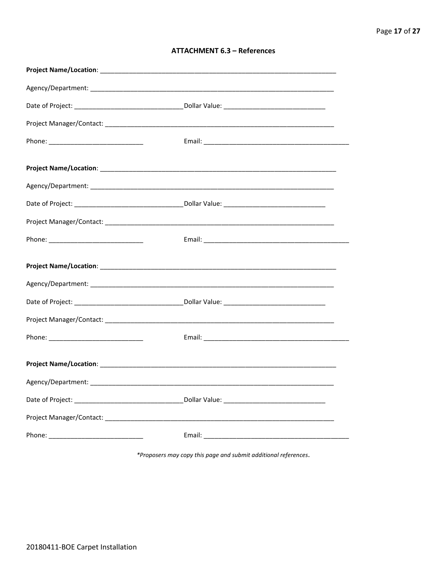| <b>ATTACHMENT 6.3 - References</b> |  |  |
|------------------------------------|--|--|
|------------------------------------|--|--|

\*Proposers may copy this page and submit additional references.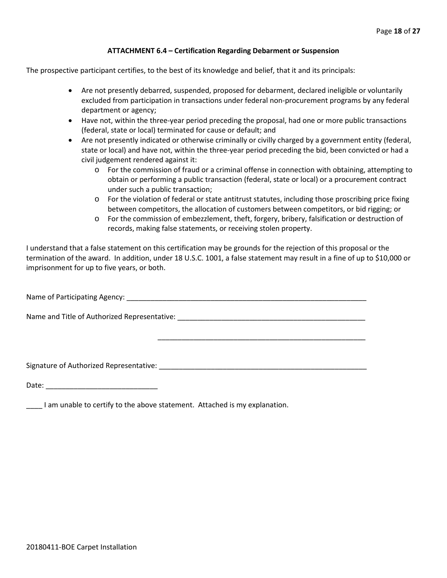# **ATTACHMENT 6.4 – Certification Regarding Debarment or Suspension**

The prospective participant certifies, to the best of its knowledge and belief, that it and its principals:

- Are not presently debarred, suspended, proposed for debarment, declared ineligible or voluntarily excluded from participation in transactions under federal non-procurement programs by any federal department or agency;
- Have not, within the three-year period preceding the proposal, had one or more public transactions (federal, state or local) terminated for cause or default; and
- Are not presently indicated or otherwise criminally or civilly charged by a government entity (federal, state or local) and have not, within the three-year period preceding the bid, been convicted or had a civil judgement rendered against it:
	- $\circ$  For the commission of fraud or a criminal offense in connection with obtaining, attempting to obtain or performing a public transaction (federal, state or local) or a procurement contract under such a public transaction;
	- o For the violation of federal or state antitrust statutes, including those proscribing price fixing between competitors, the allocation of customers between competitors, or bid rigging; or
	- o For the commission of embezzlement, theft, forgery, bribery, falsification or destruction of records, making false statements, or receiving stolen property.

\_\_\_\_\_\_\_\_\_\_\_\_\_\_\_\_\_\_\_\_\_\_\_\_\_\_\_\_\_\_\_\_\_\_\_\_\_\_\_\_\_\_\_\_\_\_\_\_\_\_\_\_

I understand that a false statement on this certification may be grounds for the rejection of this proposal or the termination of the award. In addition, under 18 U.S.C. 1001, a false statement may result in a fine of up to \$10,000 or imprisonment for up to five years, or both.

Name of Participating Agency: \_\_\_\_\_\_\_\_\_\_\_\_\_\_\_\_\_\_\_\_\_\_\_\_\_\_\_\_\_\_\_\_\_\_\_\_\_\_\_\_\_\_\_\_\_\_\_\_\_\_\_\_\_\_\_\_\_\_\_\_

Name and Title of Authorized Representative: \_\_\_\_\_\_\_\_\_\_\_\_\_\_\_\_\_\_\_\_\_\_\_\_\_\_\_\_\_\_\_\_\_\_\_\_\_\_\_\_\_\_\_\_\_\_\_

Signature of Authorized Representative: \_\_\_\_\_\_\_\_\_\_\_\_\_\_\_\_\_\_\_\_\_\_\_\_\_\_\_\_\_\_\_\_\_\_\_\_\_\_\_\_\_\_\_\_\_\_\_\_\_\_\_\_

Date: \_\_\_\_\_\_\_\_\_\_\_\_\_\_\_\_\_\_\_\_\_\_\_\_\_\_\_\_

\_\_\_\_ I am unable to certify to the above statement. Attached is my explanation.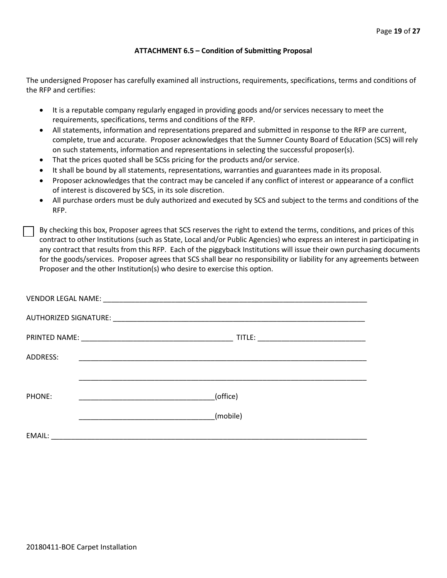# **ATTACHMENT 6.5 – Condition of Submitting Proposal**

The undersigned Proposer has carefully examined all instructions, requirements, specifications, terms and conditions of the RFP and certifies:

- It is a reputable company regularly engaged in providing goods and/or services necessary to meet the requirements, specifications, terms and conditions of the RFP.
- All statements, information and representations prepared and submitted in response to the RFP are current, complete, true and accurate. Proposer acknowledges that the Sumner County Board of Education (SCS) will rely on such statements, information and representations in selecting the successful proposer(s).
- That the prices quoted shall be SCSs pricing for the products and/or service.
- It shall be bound by all statements, representations, warranties and guarantees made in its proposal.
- Proposer acknowledges that the contract may be canceled if any conflict of interest or appearance of a conflict of interest is discovered by SCS, in its sole discretion.
- All purchase orders must be duly authorized and executed by SCS and subject to the terms and conditions of the RFP.

By checking this box, Proposer agrees that SCS reserves the right to extend the terms, conditions, and prices of this contract to other Institutions (such as State, Local and/or Public Agencies) who express an interest in participating in any contract that results from this RFP. Each of the piggyback Institutions will issue their own purchasing documents for the goods/services. Proposer agrees that SCS shall bear no responsibility or liability for any agreements between Proposer and the other Institution(s) who desire to exercise this option.

| ADDRESS: | <u> 1999 - Johann John Stone, mars et al. 1999 - John Stone, mars et al. 1999 - John Stone, mars et al. 1999 - Joh</u> |          |  |
|----------|------------------------------------------------------------------------------------------------------------------------|----------|--|
|          |                                                                                                                        |          |  |
| PHONE:   |                                                                                                                        | (office) |  |
|          |                                                                                                                        | (mobile) |  |
| EMAIL:   |                                                                                                                        |          |  |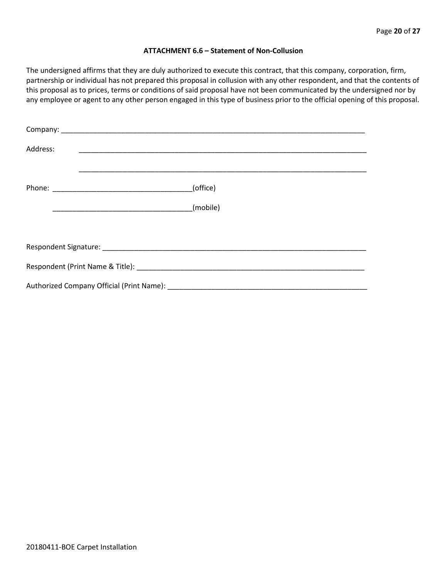### **ATTACHMENT 6.6 – Statement of Non-Collusion**

The undersigned affirms that they are duly authorized to execute this contract, that this company, corporation, firm, partnership or individual has not prepared this proposal in collusion with any other respondent, and that the contents of this proposal as to prices, terms or conditions of said proposal have not been communicated by the undersigned nor by any employee or agent to any other person engaged in this type of business prior to the official opening of this proposal.

| Address: |          |  |  |  |  |
|----------|----------|--|--|--|--|
|          | (office) |  |  |  |  |
|          |          |  |  |  |  |
|          |          |  |  |  |  |
|          |          |  |  |  |  |
|          |          |  |  |  |  |
|          |          |  |  |  |  |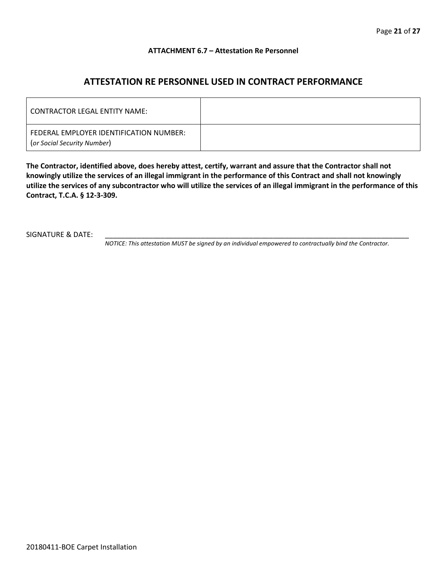# **ATTACHMENT 6.7 – Attestation Re Personnel**

# **ATTESTATION RE PERSONNEL USED IN CONTRACT PERFORMANCE**

| CONTRACTOR LEGAL ENTITY NAME:                                          |  |
|------------------------------------------------------------------------|--|
| FEDERAL EMPLOYER IDENTIFICATION NUMBER:<br>(or Social Security Number) |  |

**The Contractor, identified above, does hereby attest, certify, warrant and assure that the Contractor shall not knowingly utilize the services of an illegal immigrant in the performance of this Contract and shall not knowingly utilize the services of any subcontractor who will utilize the services of an illegal immigrant in the performance of this Contract, T.C.A. § 12-3-309.**

SIGNATURE & DATE:

*NOTICE: This attestation MUST be signed by an individual empowered to contractually bind the Contractor.*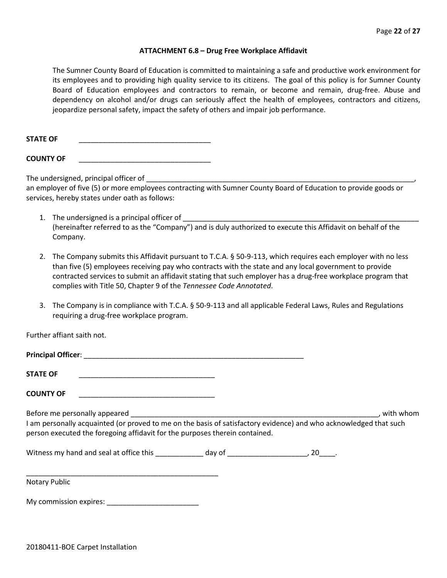### **ATTACHMENT 6.8 – Drug Free Workplace Affidavit**

The Sumner County Board of Education is committed to maintaining a safe and productive work environment for its employees and to providing high quality service to its citizens. The goal of this policy is for Sumner County Board of Education employees and contractors to remain, or become and remain, drug-free. Abuse and dependency on alcohol and/or drugs can seriously affect the health of employees, contractors and citizens, jeopardize personal safety, impact the safety of others and impair job performance.

STATE OF

**COUNTY OF** \_\_\_\_\_\_\_\_\_\_\_\_\_\_\_\_\_\_\_\_\_\_\_\_\_\_\_\_\_\_\_\_\_

The undersigned, principal officer of

an employer of five (5) or more employees contracting with Sumner County Board of Education to provide goods or services, hereby states under oath as follows:

- 1. The undersigned is a principal officer of (hereinafter referred to as the "Company") and is duly authorized to execute this Affidavit on behalf of the Company.
- 2. The Company submits this Affidavit pursuant to T.C.A. § 50-9-113, which requires each employer with no less than five (5) employees receiving pay who contracts with the state and any local government to provide contracted services to submit an affidavit stating that such employer has a drug-free workplace program that complies with Title 50, Chapter 9 of the *Tennessee Code Annotated*.
- 3. The Company is in compliance with T.C.A. § 50-9-113 and all applicable Federal Laws, Rules and Regulations requiring a drug-free workplace program.

Further affiant saith not.

| <b>STATE OF</b>                                                                                                                                                                                  |  |           |
|--------------------------------------------------------------------------------------------------------------------------------------------------------------------------------------------------|--|-----------|
| <b>COUNTY OF</b>                                                                                                                                                                                 |  |           |
| I am personally acquainted (or proved to me on the basis of satisfactory evidence) and who acknowledged that such<br>person executed the foregoing affidavit for the purposes therein contained. |  | with whom |
|                                                                                                                                                                                                  |  |           |
| <b>Notary Public</b>                                                                                                                                                                             |  |           |

My commission expires: \_\_\_\_\_\_\_\_\_\_\_\_\_\_\_\_\_\_\_\_\_\_\_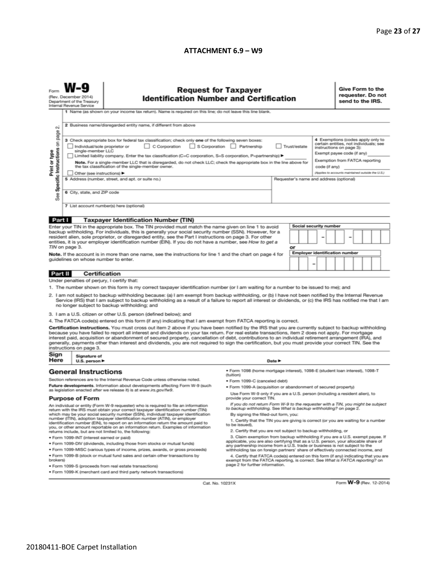# **ATTACHMENT 6.9 - W9**

| N                                                                                                                                                                                                                                                                                                                                                                                                                                                                                                                                                                                                                                                        | (Rev. December 2014)<br>Department of the Treasury<br>Internal Revenue Service                                                                                                                                                                                                                                                                                                                                                                                                                                                                                                                                                                                                                                                       | <b>Request for Taxpayer</b><br><b>Identification Number and Certification</b><br>1 Name (as shown on your income tax return). Name is required on this line; do not leave this line blank.<br>2 Business name/disregarded entity name, if different from above |                                                                              |  |                                     |  |                                                                                                                                                                                                                              |  | Give Form to the<br>requester. Do not<br>send to the IRS. |  |  |  |  |
|----------------------------------------------------------------------------------------------------------------------------------------------------------------------------------------------------------------------------------------------------------------------------------------------------------------------------------------------------------------------------------------------------------------------------------------------------------------------------------------------------------------------------------------------------------------------------------------------------------------------------------------------------------|--------------------------------------------------------------------------------------------------------------------------------------------------------------------------------------------------------------------------------------------------------------------------------------------------------------------------------------------------------------------------------------------------------------------------------------------------------------------------------------------------------------------------------------------------------------------------------------------------------------------------------------------------------------------------------------------------------------------------------------|----------------------------------------------------------------------------------------------------------------------------------------------------------------------------------------------------------------------------------------------------------------|------------------------------------------------------------------------------|--|-------------------------------------|--|------------------------------------------------------------------------------------------------------------------------------------------------------------------------------------------------------------------------------|--|-----------------------------------------------------------|--|--|--|--|
| Print or type<br>See                                                                                                                                                                                                                                                                                                                                                                                                                                                                                                                                                                                                                                     | Specific Instructions on page<br>3 Check appropriate box for federal tax classification; check only one of the following seven boxes:<br>C Corporation<br>S Corporation Partnership<br>Trust/estate<br>Individual/sole proprietor or<br>single-member LLC<br>Limited liability company. Enter the tax classification (C=C corporation, S=S corporation, P=partnership) ▶<br>Note. For a single-member LLC that is disregarded, do not check LLC; check the appropriate box in the line above for<br>the tax classification of the single-member owner.<br>code (if any)<br>Other (see instructions) ▶<br>5 Address (number, street, and apt. or suite no.)<br>Requester's name and address (optional)<br>6 City, state, and ZIP code |                                                                                                                                                                                                                                                                |                                                                              |  |                                     |  | 4 Exemptions (codes apply only to<br>certain entities, not individuals; see<br>instructions on page 3):<br>Exempt payee code (if any)<br>Exemption from FATCA reporting<br>(Applies to accounts maintained outside the U.S.) |  |                                                           |  |  |  |  |
| 7 List account number(s) here (optional)                                                                                                                                                                                                                                                                                                                                                                                                                                                                                                                                                                                                                 |                                                                                                                                                                                                                                                                                                                                                                                                                                                                                                                                                                                                                                                                                                                                      |                                                                                                                                                                                                                                                                |                                                                              |  |                                     |  |                                                                                                                                                                                                                              |  |                                                           |  |  |  |  |
| Part I                                                                                                                                                                                                                                                                                                                                                                                                                                                                                                                                                                                                                                                   |                                                                                                                                                                                                                                                                                                                                                                                                                                                                                                                                                                                                                                                                                                                                      | <b>Taxpayer Identification Number (TIN)</b>                                                                                                                                                                                                                    |                                                                              |  |                                     |  |                                                                                                                                                                                                                              |  |                                                           |  |  |  |  |
|                                                                                                                                                                                                                                                                                                                                                                                                                                                                                                                                                                                                                                                          |                                                                                                                                                                                                                                                                                                                                                                                                                                                                                                                                                                                                                                                                                                                                      | Enter your TIN in the appropriate box. The TIN provided must match the name given on line 1 to avoid                                                                                                                                                           |                                                                              |  |                                     |  | Social security number                                                                                                                                                                                                       |  |                                                           |  |  |  |  |
| backup withholding. For individuals, this is generally your social security number (SSN). However, for a<br>resident alien, sole proprietor, or disregarded entity, see the Part I instructions on page 3. For other<br>entities, it is your employer identification number (EIN). If you do not have a number, see How to get a<br>TIN on page 3.<br>or                                                                                                                                                                                                                                                                                                 |                                                                                                                                                                                                                                                                                                                                                                                                                                                                                                                                                                                                                                                                                                                                      |                                                                                                                                                                                                                                                                |                                                                              |  |                                     |  |                                                                                                                                                                                                                              |  |                                                           |  |  |  |  |
| Note. If the account is in more than one name, see the instructions for line 1 and the chart on page 4 for<br>guidelines on whose number to enter.                                                                                                                                                                                                                                                                                                                                                                                                                                                                                                       |                                                                                                                                                                                                                                                                                                                                                                                                                                                                                                                                                                                                                                                                                                                                      |                                                                                                                                                                                                                                                                |                                                                              |  | Employer identification number<br>- |  |                                                                                                                                                                                                                              |  |                                                           |  |  |  |  |
| Part II                                                                                                                                                                                                                                                                                                                                                                                                                                                                                                                                                                                                                                                  | <b>Certification</b>                                                                                                                                                                                                                                                                                                                                                                                                                                                                                                                                                                                                                                                                                                                 |                                                                                                                                                                                                                                                                |                                                                              |  |                                     |  |                                                                                                                                                                                                                              |  |                                                           |  |  |  |  |
|                                                                                                                                                                                                                                                                                                                                                                                                                                                                                                                                                                                                                                                          | Under penalties of perjury, I certify that:                                                                                                                                                                                                                                                                                                                                                                                                                                                                                                                                                                                                                                                                                          |                                                                                                                                                                                                                                                                |                                                                              |  |                                     |  |                                                                                                                                                                                                                              |  |                                                           |  |  |  |  |
| 1. The number shown on this form is my correct taxpayer identification number (or I am waiting for a number to be issued to me); and<br>2. I am not subject to backup withholding because: (a) I am exempt from backup withholding, or (b) I have not been notified by the Internal Revenue<br>Service (IRS) that I am subject to backup withholding as a result of a failure to report all interest or dividends, or (c) the IRS has notified me that I am<br>no longer subject to backup withholding; and                                                                                                                                              |                                                                                                                                                                                                                                                                                                                                                                                                                                                                                                                                                                                                                                                                                                                                      |                                                                                                                                                                                                                                                                |                                                                              |  |                                     |  |                                                                                                                                                                                                                              |  |                                                           |  |  |  |  |
|                                                                                                                                                                                                                                                                                                                                                                                                                                                                                                                                                                                                                                                          |                                                                                                                                                                                                                                                                                                                                                                                                                                                                                                                                                                                                                                                                                                                                      | 3. I am a U.S. citizen or other U.S. person (defined below); and                                                                                                                                                                                               |                                                                              |  |                                     |  |                                                                                                                                                                                                                              |  |                                                           |  |  |  |  |
|                                                                                                                                                                                                                                                                                                                                                                                                                                                                                                                                                                                                                                                          |                                                                                                                                                                                                                                                                                                                                                                                                                                                                                                                                                                                                                                                                                                                                      | 4. The FATCA code(s) entered on this form (if any) indicating that I am exempt from FATCA reporting is correct.                                                                                                                                                |                                                                              |  |                                     |  |                                                                                                                                                                                                                              |  |                                                           |  |  |  |  |
| Certification instructions. You must cross out item 2 above if you have been notified by the IRS that you are currently subject to backup withholding<br>because you have failed to report all interest and dividends on your tax return. For real estate transactions, item 2 does not apply. For mortgage<br>interest paid, acquisition or abandonment of secured property, cancellation of debt, contributions to an individual retirement arrangement (IRA), and<br>generally, payments other than interest and dividends, you are not required to sign the certification, but you must provide your correct TIN. See the<br>instructions on page 3. |                                                                                                                                                                                                                                                                                                                                                                                                                                                                                                                                                                                                                                                                                                                                      |                                                                                                                                                                                                                                                                |                                                                              |  |                                     |  |                                                                                                                                                                                                                              |  |                                                           |  |  |  |  |
| Sign<br>Here                                                                                                                                                                                                                                                                                                                                                                                                                                                                                                                                                                                                                                             | Signature of<br>U.S. person ▶                                                                                                                                                                                                                                                                                                                                                                                                                                                                                                                                                                                                                                                                                                        |                                                                                                                                                                                                                                                                | Date P                                                                       |  |                                     |  |                                                                                                                                                                                                                              |  |                                                           |  |  |  |  |
|                                                                                                                                                                                                                                                                                                                                                                                                                                                                                                                                                                                                                                                          | <b>General Instructions</b>                                                                                                                                                                                                                                                                                                                                                                                                                                                                                                                                                                                                                                                                                                          |                                                                                                                                                                                                                                                                | · Form 1098 (home mortgage interest), 1098-E (student Ioan interest), 1098-T |  |                                     |  |                                                                                                                                                                                                                              |  |                                                           |  |  |  |  |
| Section references are to the Internal Revenue Code unless otherwise noted.                                                                                                                                                                                                                                                                                                                                                                                                                                                                                                                                                                              |                                                                                                                                                                                                                                                                                                                                                                                                                                                                                                                                                                                                                                                                                                                                      |                                                                                                                                                                                                                                                                | (tuition)                                                                    |  |                                     |  |                                                                                                                                                                                                                              |  |                                                           |  |  |  |  |
|                                                                                                                                                                                                                                                                                                                                                                                                                                                                                                                                                                                                                                                          |                                                                                                                                                                                                                                                                                                                                                                                                                                                                                                                                                                                                                                                                                                                                      | Future developments. Information about developments affecting Form W-9 (such                                                                                                                                                                                   | • Form 1099-C (canceled debt)                                                |  |                                     |  |                                                                                                                                                                                                                              |  |                                                           |  |  |  |  |
| as legislation enacted after we release it) is at www.irs.gov/fw9.<br><b>Purpose of Form</b>                                                                                                                                                                                                                                                                                                                                                                                                                                                                                                                                                             |                                                                                                                                                                                                                                                                                                                                                                                                                                                                                                                                                                                                                                                                                                                                      | . Form 1099-A (acquisition or abandonment of secured property)<br>Use Form W-9 only if you are a U.S. person (including a resident alien), to<br>provide your correct TIN.                                                                                     |                                                                              |  |                                     |  |                                                                                                                                                                                                                              |  |                                                           |  |  |  |  |
| An individual or entity (Form W-9 requester) who is required to file an information<br>return with the IRS must obtain your correct taxpayer identification number (TIN)                                                                                                                                                                                                                                                                                                                                                                                                                                                                                 |                                                                                                                                                                                                                                                                                                                                                                                                                                                                                                                                                                                                                                                                                                                                      | If you do not return Form W-9 to the requester with a TIN, you might be subject<br>to backup withholding. See What is backup withholding? on page 2.                                                                                                           |                                                                              |  |                                     |  |                                                                                                                                                                                                                              |  |                                                           |  |  |  |  |
| which may be your social security number (SSN), individual taxpayer identification<br>number (ITIN), adoption taxpayer identification number (ATIN), or employer<br>identification number (EIN), to report on an information return the amount paid to<br>you, or other amount reportable on an information return. Examples of information<br>returns include, but are not limited to, the following:                                                                                                                                                                                                                                                   |                                                                                                                                                                                                                                                                                                                                                                                                                                                                                                                                                                                                                                                                                                                                      | By signing the filled-out form, you:<br>1. Certify that the TIN you are giving is correct (or you are waiting for a number<br>to be issued).<br>2. Certify that you are not subject to backup withholding, or                                                  |                                                                              |  |                                     |  |                                                                                                                                                                                                                              |  |                                                           |  |  |  |  |
|                                                                                                                                                                                                                                                                                                                                                                                                                                                                                                                                                                                                                                                          | 3. Claim exemption from backup withholding if you are a U.S. exempt payee. If<br>· Form 1099-INT (interest earned or paid)                                                                                                                                                                                                                                                                                                                                                                                                                                                                                                                                                                                                           |                                                                                                                                                                                                                                                                |                                                                              |  |                                     |  |                                                                                                                                                                                                                              |  |                                                           |  |  |  |  |
| applicable, you are also certifying that as a U.S. person, your allocable share of<br>. Form 1099-DIV (dividends, including those from stocks or mutual funds)<br>any partnership income from a U.S. trade or business is not subject to the                                                                                                                                                                                                                                                                                                                                                                                                             |                                                                                                                                                                                                                                                                                                                                                                                                                                                                                                                                                                                                                                                                                                                                      |                                                                                                                                                                                                                                                                |                                                                              |  |                                     |  |                                                                                                                                                                                                                              |  |                                                           |  |  |  |  |
|                                                                                                                                                                                                                                                                                                                                                                                                                                                                                                                                                                                                                                                          | . Form 1099-MISC (various types of income, prizes, awards, or gross proceeds)<br>withholding tax on foreign partners' share of effectively connected income, and                                                                                                                                                                                                                                                                                                                                                                                                                                                                                                                                                                     |                                                                                                                                                                                                                                                                |                                                                              |  |                                     |  |                                                                                                                                                                                                                              |  |                                                           |  |  |  |  |
| . Form 1099-B (stock or mutual fund sales and certain other transactions by<br>4. Certify that FATCA code(s) entered on this form (if any) indicating that you are<br>brokers)<br>exempt from the FATCA reporting, is correct. See What is FATCA reporting? on<br>page 2 for further information.                                                                                                                                                                                                                                                                                                                                                        |                                                                                                                                                                                                                                                                                                                                                                                                                                                                                                                                                                                                                                                                                                                                      |                                                                                                                                                                                                                                                                |                                                                              |  |                                     |  |                                                                                                                                                                                                                              |  |                                                           |  |  |  |  |
|                                                                                                                                                                                                                                                                                                                                                                                                                                                                                                                                                                                                                                                          |                                                                                                                                                                                                                                                                                                                                                                                                                                                                                                                                                                                                                                                                                                                                      | · Form 1099-S (proceeds from real estate transactions)                                                                                                                                                                                                         |                                                                              |  |                                     |  |                                                                                                                                                                                                                              |  |                                                           |  |  |  |  |
|                                                                                                                                                                                                                                                                                                                                                                                                                                                                                                                                                                                                                                                          | . Form 1099-K (merchant card and third party network transactions)                                                                                                                                                                                                                                                                                                                                                                                                                                                                                                                                                                                                                                                                   |                                                                                                                                                                                                                                                                |                                                                              |  |                                     |  |                                                                                                                                                                                                                              |  |                                                           |  |  |  |  |

Cat. No. 10231X

Form **W-9** (Rev. 12-2014)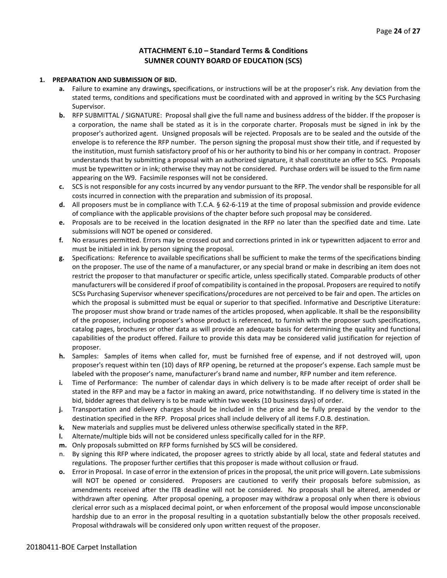# **ATTACHMENT 6.10 – Standard Terms & Conditions SUMNER COUNTY BOARD OF EDUCATION (SCS)**

### **1. PREPARATION AND SUBMISSION OF BID.**

- **a.** Failure to examine any drawings**,** specifications, or instructions will be at the proposer's risk. Any deviation from the stated terms, conditions and specifications must be coordinated with and approved in writing by the SCS Purchasing Supervisor.
- **b.** RFP SUBMITTAL / SIGNATURE: Proposal shall give the full name and business address of the bidder. If the proposer is a corporation, the name shall be stated as it is in the corporate charter. Proposals must be signed in ink by the proposer's authorized agent. Unsigned proposals will be rejected. Proposals are to be sealed and the outside of the envelope is to reference the RFP number. The person signing the proposal must show their title, and if requested by the institution, must furnish satisfactory proof of his or her authority to bind his or her company in contract. Proposer understands that by submitting a proposal with an authorized signature, it shall constitute an offer to SCS. Proposals must be typewritten or in ink; otherwise they may not be considered. Purchase orders will be issued to the firm name appearing on the W9. Facsimile responses will not be considered.
- **c.** SCS is not responsible for any costs incurred by any vendor pursuant to the RFP. The vendor shall be responsible for all costs incurred in connection with the preparation and submission of its proposal.
- **d.** All proposers must be in compliance with T.C.A. § 62-6-119 at the time of proposal submission and provide evidence of compliance with the applicable provisions of the chapter before such proposal may be considered.
- **e.** Proposals are to be received in the location designated in the RFP no later than the specified date and time. Late submissions will NOT be opened or considered.
- **f.** No erasures permitted. Errors may be crossed out and corrections printed in ink or typewritten adjacent to error and must be initialed in ink by person signing the proposal.
- **g.** Specifications: Reference to available specifications shall be sufficient to make the terms of the specifications binding on the proposer. The use of the name of a manufacturer, or any special brand or make in describing an item does not restrict the proposer to that manufacturer or specific article, unless specifically stated. Comparable products of other manufacturers will be considered if proof of compatibility is contained in the proposal. Proposers are required to notify SCSs Purchasing Supervisor whenever specifications/procedures are not perceived to be fair and open. The articles on which the proposal is submitted must be equal or superior to that specified. Informative and Descriptive Literature: The proposer must show brand or trade names of the articles proposed, when applicable. It shall be the responsibility of the proposer, including proposer's whose product is referenced, to furnish with the proposer such specifications, catalog pages, brochures or other data as will provide an adequate basis for determining the quality and functional capabilities of the product offered. Failure to provide this data may be considered valid justification for rejection of proposer.
- **h.** Samples: Samples of items when called for, must be furnished free of expense, and if not destroyed will, upon proposer's request within ten (10) days of RFP opening, be returned at the proposer's expense. Each sample must be labeled with the proposer's name, manufacturer's brand name and number, RFP number and item reference.
- **i.** Time of Performance: The number of calendar days in which delivery is to be made after receipt of order shall be stated in the RFP and may be a factor in making an award, price notwithstanding. If no delivery time is stated in the bid, bidder agrees that delivery is to be made within two weeks (10 business days) of order.
- **j.** Transportation and delivery charges should be included in the price and be fully prepaid by the vendor to the destination specified in the RFP. Proposal prices shall include delivery of all items F.O.B. destination.
- **k.** New materials and supplies must be delivered unless otherwise specifically stated in the RFP.
- **l.** Alternate/multiple bids will not be considered unless specifically called for in the RFP.
- **m.** Only proposals submitted on RFP forms furnished by SCS will be considered.
- n. By signing this RFP where indicated, the proposer agrees to strictly abide by all local, state and federal statutes and regulations. The proposer further certifies that this proposer is made without collusion or fraud.
- **o.** Error in Proposal. In case of error in the extension of prices in the proposal, the unit price will govern. Late submissions will NOT be opened or considered. Proposers are cautioned to verify their proposals before submission, as amendments received after the ITB deadline will not be considered. No proposals shall be altered, amended or withdrawn after opening. After proposal opening, a proposer may withdraw a proposal only when there is obvious clerical error such as a misplaced decimal point, or when enforcement of the proposal would impose unconscionable hardship due to an error in the proposal resulting in a quotation substantially below the other proposals received. Proposal withdrawals will be considered only upon written request of the proposer.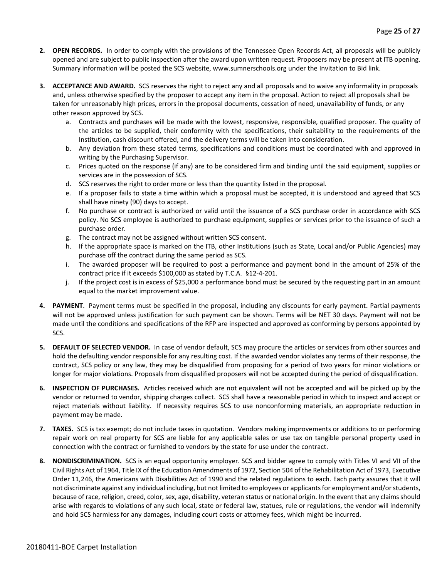- **2. OPEN RECORDS.** In order to comply with the provisions of the Tennessee Open Records Act, all proposals will be publicly opened and are subject to public inspection after the award upon written request. Proposers may be present at ITB opening. Summary information will be posted the SCS website, www.sumnerschools.org under the Invitation to Bid link.
- **3. ACCEPTANCE AND AWARD.** SCS reserves the right to reject any and all proposals and to waive any informality in proposals and, unless otherwise specified by the proposer to accept any item in the proposal. Action to reject all proposals shall be taken for unreasonably high prices, errors in the proposal documents, cessation of need, unavailability of funds, or any other reason approved by SCS.
	- a. Contracts and purchases will be made with the lowest, responsive, responsible, qualified proposer. The quality of the articles to be supplied, their conformity with the specifications, their suitability to the requirements of the Institution, cash discount offered, and the delivery terms will be taken into consideration.
	- b. Any deviation from these stated terms, specifications and conditions must be coordinated with and approved in writing by the Purchasing Supervisor.
	- c. Prices quoted on the response (if any) are to be considered firm and binding until the said equipment, supplies or services are in the possession of SCS.
	- d. SCS reserves the right to order more or less than the quantity listed in the proposal.
	- e. If a proposer fails to state a time within which a proposal must be accepted, it is understood and agreed that SCS shall have ninety (90) days to accept.
	- f. No purchase or contract is authorized or valid until the issuance of a SCS purchase order in accordance with SCS policy. No SCS employee is authorized to purchase equipment, supplies or services prior to the issuance of such a purchase order.
	- g. The contract may not be assigned without written SCS consent.
	- h. If the appropriate space is marked on the ITB, other Institutions (such as State, Local and/or Public Agencies) may purchase off the contract during the same period as SCS.
	- i. The awarded proposer will be required to post a performance and payment bond in the amount of 25% of the contract price if it exceeds \$100,000 as stated by T.C.A. §12-4-201.
	- j. If the project cost is in excess of \$25,000 a performance bond must be secured by the requesting part in an amount equal to the market improvement value.
- **4. PAYMENT**. Payment terms must be specified in the proposal, including any discounts for early payment. Partial payments will not be approved unless justification for such payment can be shown. Terms will be NET 30 days. Payment will not be made until the conditions and specifications of the RFP are inspected and approved as conforming by persons appointed by SCS.
- **5. DEFAULT OF SELECTED VENDOR.** In case of vendor default, SCS may procure the articles or services from other sources and hold the defaulting vendor responsible for any resulting cost. If the awarded vendor violates any terms of their response, the contract, SCS policy or any law, they may be disqualified from proposing for a period of two years for minor violations or longer for major violations. Proposals from disqualified proposers will not be accepted during the period of disqualification.
- **6. INSPECTION OF PURCHASES.** Articles received which are not equivalent will not be accepted and will be picked up by the vendor or returned to vendor, shipping charges collect. SCS shall have a reasonable period in which to inspect and accept or reject materials without liability. If necessity requires SCS to use nonconforming materials, an appropriate reduction in payment may be made.
- **7. TAXES.** SCS is tax exempt; do not include taxes in quotation. Vendors making improvements or additions to or performing repair work on real property for SCS are liable for any applicable sales or use tax on tangible personal property used in connection with the contract or furnished to vendors by the state for use under the contract.
- **8. NONDISCRIMINATION.** SCS is an equal opportunity employer. SCS and bidder agree to comply with Titles VI and VII of the Civil Rights Act of 1964, Title IX of the Education Amendments of 1972, Section 504 of the Rehabilitation Act of 1973, Executive Order 11,246, the Americans with Disabilities Act of 1990 and the related regulations to each. Each party assures that it will not discriminate against any individual including, but not limited to employees or applicants for employment and/or students, because of race, religion, creed, color, sex, age, disability, veteran status or national origin. In the event that any claims should arise with regards to violations of any such local, state or federal law, statues, rule or regulations, the vendor will indemnify and hold SCS harmless for any damages, including court costs or attorney fees, which might be incurred.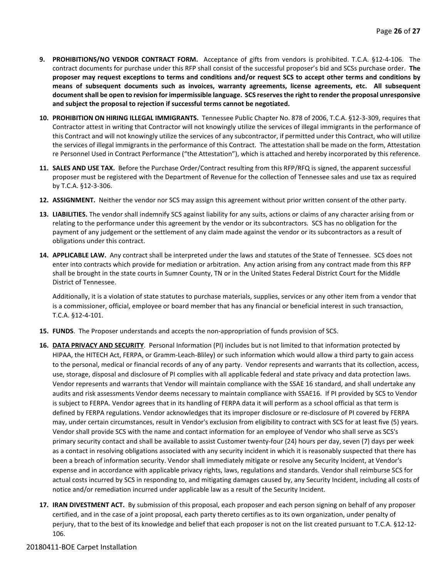- **9. PROHIBITIONS/NO VENDOR CONTRACT FORM.** Acceptance of gifts from vendors is prohibited. T.C.A. §12-4-106. The contract documents for purchase under this RFP shall consist of the successful proposer's bid and SCSs purchase order. **The proposer may request exceptions to terms and conditions and/or request SCS to accept other terms and conditions by means of subsequent documents such as invoices, warranty agreements, license agreements, etc. All subsequent document shall be open to revision for impermissible language. SCS reserves the right to render the proposal unresponsive and subject the proposal to rejection if successful terms cannot be negotiated.**
- **10. PROHIBITION ON HIRING ILLEGAL IMMIGRANTS.** Tennessee Public Chapter No. 878 of 2006, T.C.A. §12-3-309, requires that Contractor attest in writing that Contractor will not knowingly utilize the services of illegal immigrants in the performance of this Contract and will not knowingly utilize the services of any subcontractor, if permitted under this Contract, who will utilize the services of illegal immigrants in the performance of this Contract. The attestation shall be made on the form, Attestation re Personnel Used in Contract Performance ("the Attestation"), which is attached and hereby incorporated by this reference.
- **11. SALES AND USE TAX.** Before the Purchase Order/Contract resulting from this RFP/RFQ is signed, the apparent successful proposer must be registered with the Department of Revenue for the collection of Tennessee sales and use tax as required by T.C.A. §12-3-306.
- **12. ASSIGNMENT.** Neither the vendor nor SCS may assign this agreement without prior written consent of the other party.
- **13. LIABILITIES.** The vendor shall indemnify SCS against liability for any suits, actions or claims of any character arising from or relating to the performance under this agreement by the vendor or its subcontractors. SCS has no obligation for the payment of any judgement or the settlement of any claim made against the vendor or its subcontractors as a result of obligations under this contract.
- **14. APPLICABLE LAW.** Any contract shall be interpreted under the laws and statutes of the State of Tennessee. SCS does not enter into contracts which provide for mediation or arbitration. Any action arising from any contract made from this RFP shall be brought in the state courts in Sumner County, TN or in the United States Federal District Court for the Middle District of Tennessee.

Additionally, it is a violation of state statutes to purchase materials, supplies, services or any other item from a vendor that is a commissioner, official, employee or board member that has any financial or beneficial interest in such transaction, T.C.A. §12-4-101.

- **15. FUNDS**. The Proposer understands and accepts the non-appropriation of funds provision of SCS.
- **16. DATA PRIVACY AND SECURITY**. Personal Information (PI) includes but is not limited to that information protected by HIPAA, the HITECH Act, FERPA, or Gramm-Leach-Bliley) or such information which would allow a third party to gain access to the personal, medical or financial records of any of any party. Vendor represents and warrants that its collection, access, use, storage, disposal and disclosure of PI complies with all applicable federal and state privacy and data protection laws. Vendor represents and warrants that Vendor will maintain compliance with the SSAE 16 standard, and shall undertake any audits and risk assessments Vendor deems necessary to maintain compliance with SSAE16. If PI provided by SCS to Vendor is subject to FERPA. Vendor agrees that in its handling of FERPA data it will perform as a school official as that term is defined by FERPA regulations. Vendor acknowledges that its improper disclosure or re-disclosure of PI covered by FERPA may, under certain circumstances, result in Vendor's exclusion from eligibility to contract with SCS for at least five (5) years. Vendor shall provide SCS with the name and contact information for an employee of Vendor who shall serve as SCS's primary security contact and shall be available to assist Customer twenty-four (24) hours per day, seven (7) days per week as a contact in resolving obligations associated with any security incident in which it is reasonably suspected that there has been a breach of information security. Vendor shall immediately mitigate or resolve any Security Incident, at Vendor's expense and in accordance with applicable privacy rights, laws, regulations and standards. Vendor shall reimburse SCS for actual costs incurred by SCS in responding to, and mitigating damages caused by, any Security Incident, including all costs of notice and/or remediation incurred under applicable law as a result of the Security Incident.
- **17. IRAN DIVESTMENT ACT.** By submission of this proposal, each proposer and each person signing on behalf of any proposer certified, and in the case of a joint proposal, each party thereto certifies as to its own organization, under penalty of perjury, that to the best of its knowledge and belief that each proposer is not on the list created pursuant to T.C.A. §12-12- 106.